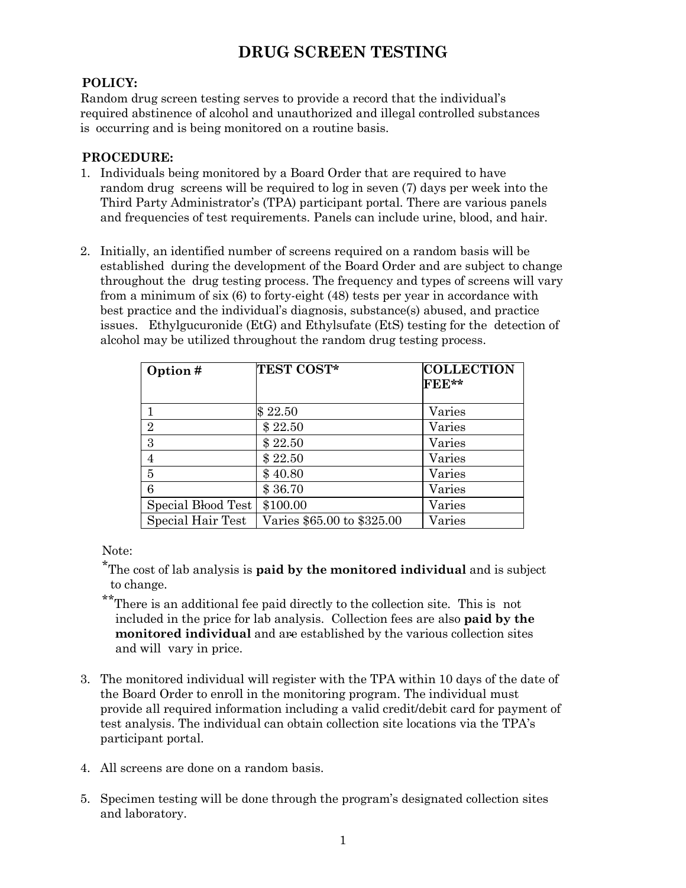## **DRUG SCREEN TESTING**

## **POLICY:**

Random drug screen testing serves to provide a record that the individual's required abstinence of alcohol and unauthorized and illegal controlled substances is occurring and is being monitored on a routine basis.

## **PROCEDURE:**

- 1. Individuals being monitored by a Board Order that are required to have random drug screens will be required to log in seven (7) days per week into the Third Party Administrator's (TPA) participant portal. There are various panels and frequencies of test requirements. Panels can include urine, blood, and hair.
- 2. Initially, an identified number of screens required on a random basis will be established during the development of the Board Order and are subject to change throughout the drug testing process. The frequency and types of screens will vary from a minimum of six (6) to forty-eight (48) tests per year in accordance with best practice and the individual's diagnosis, substance(s) abused, and practice issues. Ethylgucuronide (EtG) and Ethylsufate (EtS) testing for the detection of alcohol may be utilized throughout the random drug testing process.

| Option#            | <b>TEST COST*</b>          | <b>COLLECTION</b><br>FEE** |
|--------------------|----------------------------|----------------------------|
|                    | \$22.50                    | Varies                     |
| $\overline{2}$     | \$22.50                    | Varies                     |
| 3                  | \$22.50                    | Varies                     |
| 4                  | \$22.50                    | Varies                     |
| 5                  | \$40.80                    | Varies                     |
| 6                  | \$36.70                    | Varies                     |
| Special Blood Test | \$100.00                   | Varies                     |
| Special Hair Test  | Varies \$65.00 to \$325.00 | Varies                     |

Note:

\*The cost of lab analysis is **paid by the monitored individual** and is subject to change.

- \*\*There is an additional fee paid directly to the collection site. This is not included in the price for lab analysis. Collection fees are also **paid by the monitored individual** and are established by the various collection sites and will vary in price.
- 3. The monitored individual will register with the TPA within 10 days of the date of the Board Order to enroll in the monitoring program. The individual must provide all required information including a valid credit/debit card for payment of test analysis. The individual can obtain collection site locations via the TPA's participant portal.
- 4. All screens are done on a random basis.
- 5. Specimen testing will be done through the program's designated collection sites and laboratory.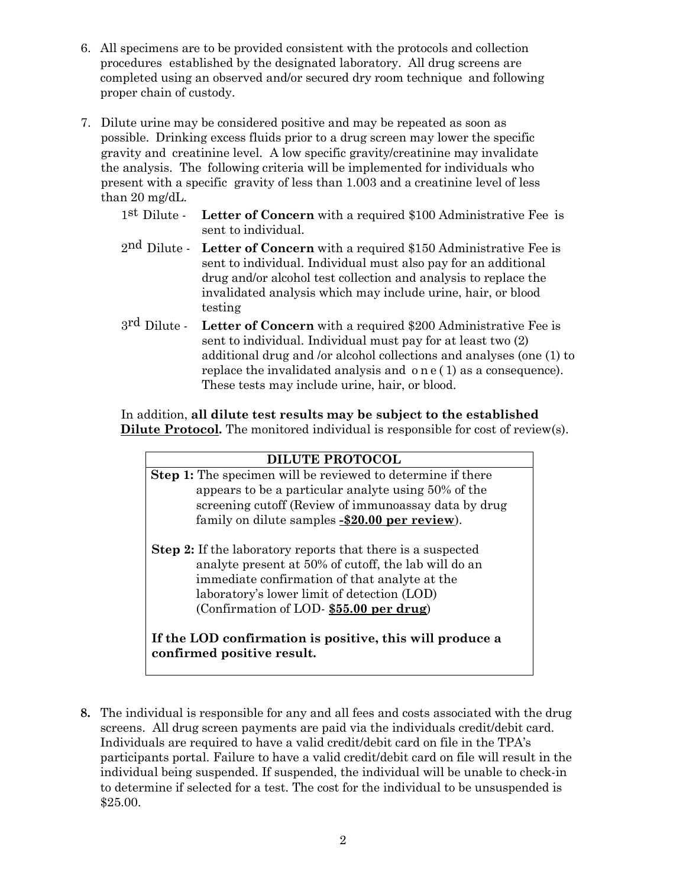- 6. All specimens are to be provided consistent with the protocols and collection procedures established by the designated laboratory. All drug screens are completed using an observed and/or secured dry room technique and following proper chain of custody.
- 7. Dilute urine may be considered positive and may be repeated as soon as possible. Drinking excess fluids prior to a drug screen may lower the specific gravity and creatinine level. A low specific gravity/creatinine may invalidate the analysis. The following criteria will be implemented for individuals who present with a specific gravity of less than 1.003 and a creatinine level of less than 20 mg/dL.
	- 1st Dilute **Letter of Concern** with a required \$100 Administrative Fee is sent to individual.
	- 2nd Dilute **Letter of Concern** with a required \$150 Administrative Fee is sent to individual. Individual must also pay for an additional drug and/or alcohol test collection and analysis to replace the invalidated analysis which may include urine, hair, or blood testing
	- 3rd Dilute **Letter of Concern** with a required \$200 Administrative Fee is sent to individual. Individual must pay for at least two (2) additional drug and /or alcohol collections and analyses (one (1) to replace the invalidated analysis and o n e ( 1) as a consequence). These tests may include urine, hair, or blood.

In addition, **all dilute test results may be subject to the established Dilute Protocol.** The monitored individual is responsible for cost of review(s).

| <b>DILUTE PROTOCOL</b>                                                                                                                                                                                                                                               |  |  |
|----------------------------------------------------------------------------------------------------------------------------------------------------------------------------------------------------------------------------------------------------------------------|--|--|
| <b>Step 1:</b> The specimen will be reviewed to determine if there                                                                                                                                                                                                   |  |  |
| appears to be a particular analyte using 50% of the                                                                                                                                                                                                                  |  |  |
| screening cutoff (Review of immunoassay data by drug                                                                                                                                                                                                                 |  |  |
| family on dilute samples -\$20.00 per review).                                                                                                                                                                                                                       |  |  |
| <b>Step 2:</b> If the laboratory reports that there is a suspected<br>analyte present at 50% of cutoff, the lab will do an<br>immediate confirmation of that analyte at the<br>laboratory's lower limit of detection (LOD)<br>(Confirmation of LOD-\$55.00 per drug) |  |  |
| If the LOD confirmation is positive, this will produce a<br>confirmed positive result.                                                                                                                                                                               |  |  |

**8.** The individual is responsible for any and all fees and costs associated with the drug screens. All drug screen payments are paid via the individuals credit/debit card. Individuals are required to have a valid credit/debit card on file in the TPA's participants portal. Failure to have a valid credit/debit card on file will result in the individual being suspended. If suspended, the individual will be unable to check-in to determine if selected for a test. The cost for the individual to be unsuspended is \$25.00.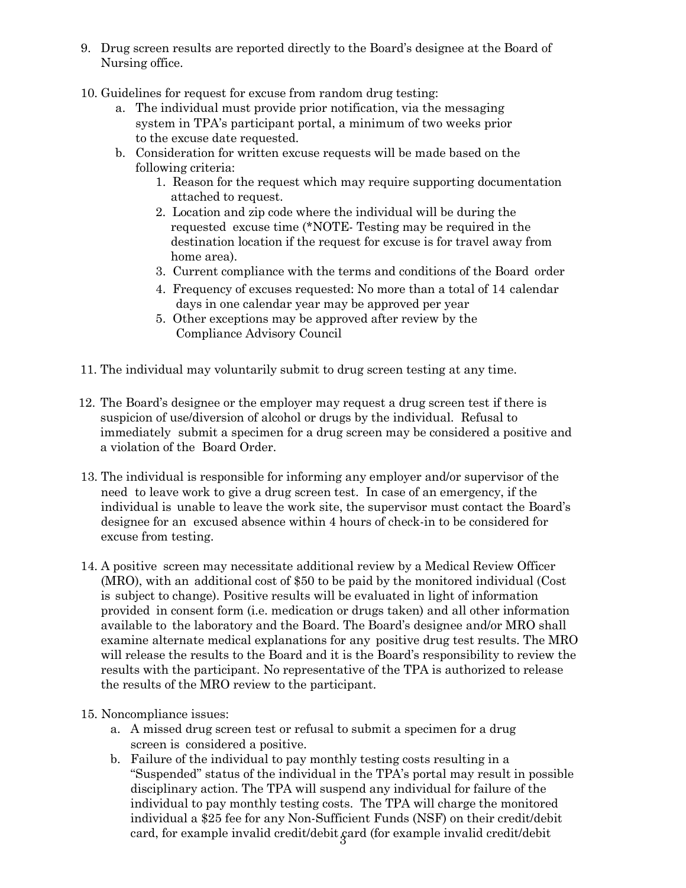- 9. Drug screen results are reported directly to the Board's designee at the Board of Nursing office.
- 10. Guidelines for request for excuse from random drug testing:
	- a. The individual must provide prior notification, via the messaging system in TPA's participant portal, a minimum of two weeks prior to the excuse date requested.
	- b. Consideration for written excuse requests will be made based on the following criteria:
		- 1. Reason for the request which may require supporting documentation attached to request.
		- 2. Location and zip code where the individual will be during the requested excuse time (\*NOTE- Testing may be required in the destination location if the request for excuse is for travel away from home area).
		- 3. Current compliance with the terms and conditions of the Board order
		- 4. Frequency of excuses requested: No more than a total of 14 calendar days in one calendar year may be approved per year
		- 5. Other exceptions may be approved after review by the Compliance Advisory Council
- 11. The individual may voluntarily submit to drug screen testing at any time.
- 12. The Board's designee or the employer may request a drug screen test if there is suspicion of use/diversion of alcohol or drugs by the individual. Refusal to immediately submit a specimen for a drug screen may be considered a positive and a violation of the Board Order.
- 13. The individual is responsible for informing any employer and/or supervisor of the need to leave work to give a drug screen test. In case of an emergency, if the individual is unable to leave the work site, the supervisor must contact the Board's designee for an excused absence within 4 hours of check-in to be considered for excuse from testing.
- 14. A positive screen may necessitate additional review by a Medical Review Officer (MRO), with an additional cost of \$50 to be paid by the monitored individual (Cost is subject to change). Positive results will be evaluated in light of information provided in consent form (i.e. medication or drugs taken) and all other information available to the laboratory and the Board. The Board's designee and/or MRO shall examine alternate medical explanations for any positive drug test results. The MRO will release the results to the Board and it is the Board's responsibility to review the results with the participant. No representative of the TPA is authorized to release the results of the MRO review to the participant.
- 15. Noncompliance issues:
	- a. A missed drug screen test or refusal to submit a specimen for a drug screen is considered a positive.
	- card, for example invalid credit/debit  $\operatorname{gard}$  (for example invalid credit/debit b. Failure of the individual to pay monthly testing costs resulting in a "Suspended" status of the individual in the TPA's portal may result in possible disciplinary action. The TPA will suspend any individual for failure of the individual to pay monthly testing costs. The TPA will charge the monitored individual a \$25 fee for any Non-Sufficient Funds (NSF) on their credit/debit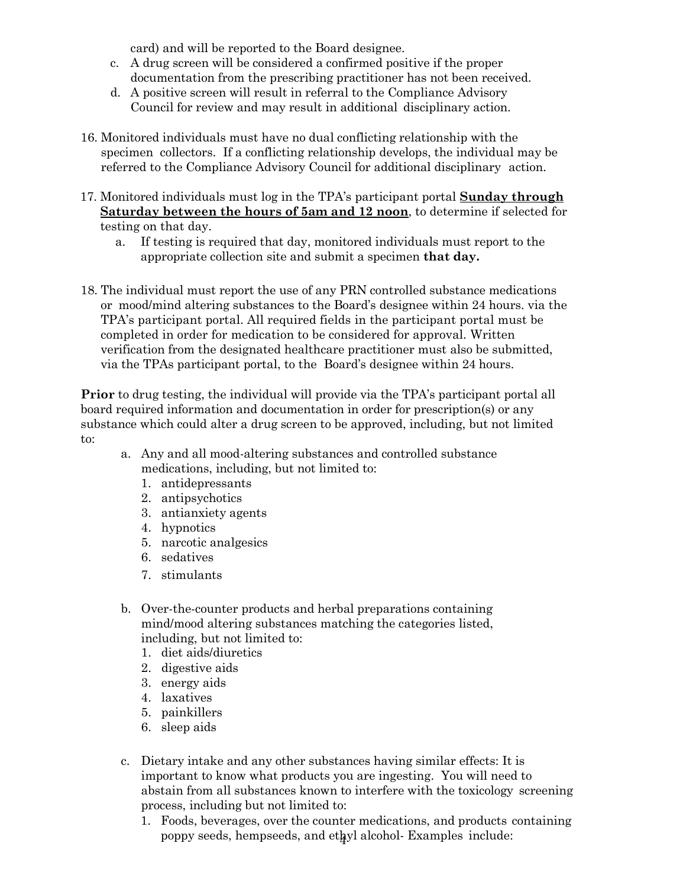card) and will be reported to the Board designee.

- c. A drug screen will be considered a confirmed positive if the proper documentation from the prescribing practitioner has not been received.
- d. A positive screen will result in referral to the Compliance Advisory Council for review and may result in additional disciplinary action.
- 16. Monitored individuals must have no dual conflicting relationship with the specimen collectors. If a conflicting relationship develops, the individual may be referred to the Compliance Advisory Council for additional disciplinary action.
- 17. Monitored individuals must log in the TPA's participant portal **Sunday through Saturday between the hours of 5am and 12 noon**, to determine if selected for testing on that day.
	- a. If testing is required that day, monitored individuals must report to the appropriate collection site and submit a specimen **that day.**
- 18. The individual must report the use of any PRN controlled substance medications or mood/mind altering substances to the Board's designee within 24 hours. via the TPA's participant portal. All required fields in the participant portal must be completed in order for medication to be considered for approval. Written verification from the designated healthcare practitioner must also be submitted, via the TPAs participant portal, to the Board's designee within 24 hours.

**Prior** to drug testing, the individual will provide via the TPA's participant portal all board required information and documentation in order for prescription(s) or any substance which could alter a drug screen to be approved, including, but not limited to:

- a. Any and all mood-altering substances and controlled substance medications, including, but not limited to:
	- 1. antidepressants
	- 2. antipsychotics
	- 3. antianxiety agents
	- 4. hypnotics
	- 5. narcotic analgesics
	- 6. sedatives
	- 7. stimulants
- b. Over-the-counter products and herbal preparations containing mind/mood altering substances matching the categories listed, including, but not limited to:
	- 1. diet aids/diuretics
	- 2. digestive aids
	- 3. energy aids
	- 4. laxatives
	- 5. painkillers
	- 6. sleep aids
- c. Dietary intake and any other substances having similar effects: It is important to know what products you are ingesting. You will need to abstain from all substances known to interfere with the toxicology screening process, including but not limited to:
	- poppy seeds, hempseeds, and et $\frac{1}{4}$ yl alcohol- Examples include: 1. Foods, beverages, over the counter medications, and products containing